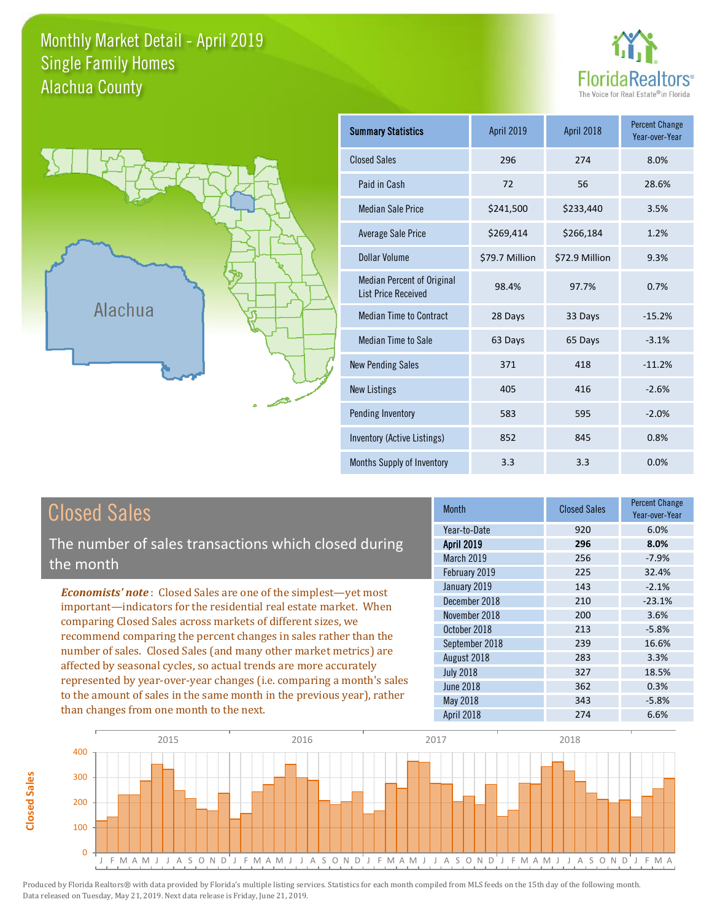### Monthly Market Detail - April 2019 Alachua County Single Family Homes





**Closed Sales**

**Closed Sales** 

| <b>Summary Statistics</b>                                       | April 2019     | April 2018     | <b>Percent Change</b><br>Year-over-Year |
|-----------------------------------------------------------------|----------------|----------------|-----------------------------------------|
| <b>Closed Sales</b>                                             | 296            | 274            | 8.0%                                    |
| Paid in Cash                                                    | 72             | 56             | 28.6%                                   |
| <b>Median Sale Price</b>                                        | \$241,500      | \$233,440      | 3.5%                                    |
| <b>Average Sale Price</b>                                       | \$269,414      | \$266,184      | 1.2%                                    |
| Dollar Volume                                                   | \$79.7 Million | \$72.9 Million | 9.3%                                    |
| <b>Median Percent of Original</b><br><b>List Price Received</b> | 98.4%          | 97.7%          | 0.7%                                    |
| <b>Median Time to Contract</b>                                  | 28 Days        | 33 Days        | $-15.2%$                                |
| <b>Median Time to Sale</b>                                      | 63 Days        | 65 Days        | $-3.1%$                                 |
| <b>New Pending Sales</b>                                        | 371            | 418            | $-11.2%$                                |
| <b>New Listings</b>                                             | 405            | 416            | $-2.6%$                                 |
| Pending Inventory                                               | 583            | 595            | $-2.0%$                                 |
| Inventory (Active Listings)                                     | 852            | 845            | 0.8%                                    |
| Months Supply of Inventory                                      | 3.3            | 3.3            | 0.0%                                    |

| <b>Closed Sales</b>                                                                                                                                                                                                                                                                                                                                                                                                                                                                                                                                                                                                      | <b>Month</b>                                                                                                                                                             | <b>Closed Sales</b>                                                | <b>Percent Change</b><br>Year-over-Year                                                     |
|--------------------------------------------------------------------------------------------------------------------------------------------------------------------------------------------------------------------------------------------------------------------------------------------------------------------------------------------------------------------------------------------------------------------------------------------------------------------------------------------------------------------------------------------------------------------------------------------------------------------------|--------------------------------------------------------------------------------------------------------------------------------------------------------------------------|--------------------------------------------------------------------|---------------------------------------------------------------------------------------------|
| The number of sales transactions which closed during                                                                                                                                                                                                                                                                                                                                                                                                                                                                                                                                                                     | Year-to-Date<br><b>April 2019</b><br>March 2019                                                                                                                          | 920<br>296<br>256                                                  | 6.0%<br>8.0%<br>$-7.9%$                                                                     |
| the month                                                                                                                                                                                                                                                                                                                                                                                                                                                                                                                                                                                                                | February 2019                                                                                                                                                            | 225                                                                | 32.4%                                                                                       |
| <b>Economists' note:</b> Closed Sales are one of the simplest—yet most<br>important—indicators for the residential real estate market. When<br>comparing Closed Sales across markets of different sizes, we<br>recommend comparing the percent changes in sales rather than the<br>number of sales. Closed Sales (and many other market metrics) are<br>affected by seasonal cycles, so actual trends are more accurately<br>represented by year-over-year changes (i.e. comparing a month's sales<br>to the amount of sales in the same month in the previous year), rather<br>than changes from one month to the next. | January 2019<br>December 2018<br>November 2018<br>October 2018<br>September 2018<br>August 2018<br><b>July 2018</b><br><b>June 2018</b><br>May 2018<br><b>April 2018</b> | 143<br>210<br>200<br>213<br>239<br>283<br>327<br>362<br>343<br>274 | $-2.1%$<br>$-23.1%$<br>3.6%<br>$-5.8%$<br>16.6%<br>3.3%<br>18.5%<br>0.3%<br>$-5.8%$<br>6.6% |

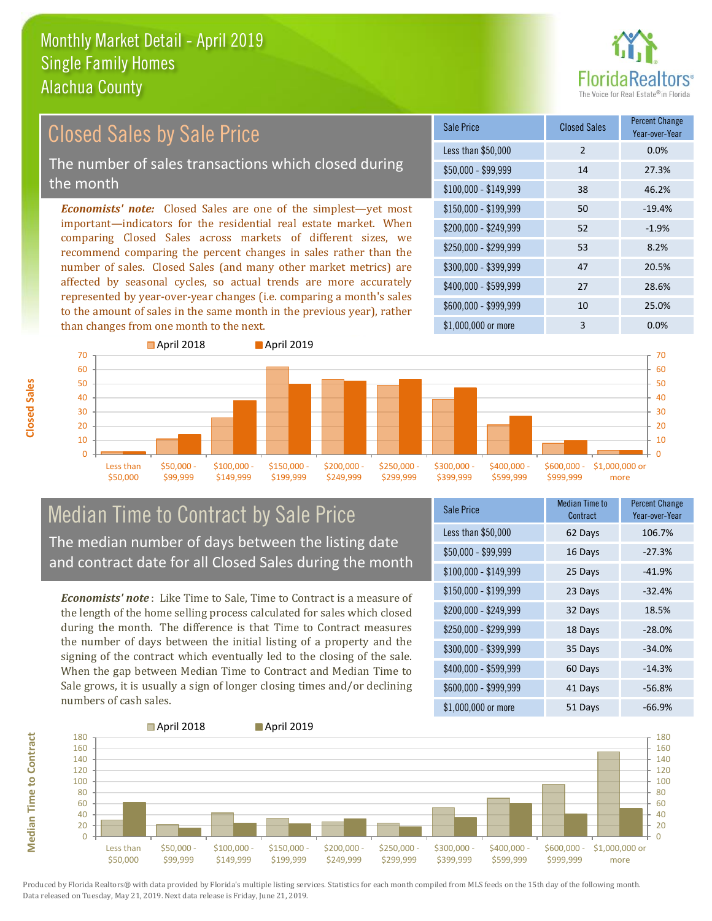

### *Economists' note:* Closed Sales are one of the simplest—yet most important—indicators for the residential real estate market. When comparing Closed Sales across markets of different sizes, we recommend comparing the percent changes in sales rather than the number of sales. Closed Sales (and many other market metrics) are affected by seasonal cycles, so actual trends are more accurately represented by year-over-year changes (i.e. comparing a month's sales to the amount of sales in the same month in the previous year), rather than changes from one month to the next. \$1,000,000 or more 3 0.0% \$250,000 - \$299,999 53 8.2% \$300,000 - \$399,999 47 20.5% \$400,000 - \$599,999 27 28.6% \$600,000 - \$999,999 10 25.0% \$150,000 - \$199,999 50 -19.4% \$200,000 - \$249,999 52 -1.9% \$100,000 - \$149,999 38 46.2% Sale Price Closed Sales Percent Change Year-over-Year Less than \$50,000 2 0.0% \$50,000 - \$99,999 14 27.3% Closed Sales by Sale Price The number of sales transactions which closed during the month



### Median Time to Contract by Sale Price The median number of days between the listing date and contract date for all Closed Sales during the month

*Economists' note* : Like Time to Sale, Time to Contract is a measure of the length of the home selling process calculated for sales which closed during the month. The difference is that Time to Contract measures the number of days between the initial listing of a property and the signing of the contract which eventually led to the closing of the sale. When the gap between Median Time to Contract and Median Time to Sale grows, it is usually a sign of longer closing times and/or declining numbers of cash sales.

| <b>Sale Price</b>     | <b>Median Time to</b><br>Contract | <b>Percent Change</b><br>Year-over-Year |
|-----------------------|-----------------------------------|-----------------------------------------|
| Less than \$50,000    | 62 Days                           | 106.7%                                  |
| $$50,000 - $99,999$   | 16 Days                           | $-27.3%$                                |
| $$100,000 - $149,999$ | 25 Days                           | $-41.9%$                                |
| $$150,000 - $199,999$ | 23 Days                           | $-32.4%$                                |
| \$200,000 - \$249,999 | 32 Days                           | 18.5%                                   |
| \$250,000 - \$299,999 | 18 Days                           | $-28.0%$                                |
| \$300,000 - \$399,999 | 35 Days                           | $-34.0%$                                |
| \$400,000 - \$599,999 | 60 Days                           | $-14.3%$                                |
| \$600,000 - \$999,999 | 41 Days                           | $-56.8%$                                |
| \$1,000,000 or more   | 51 Days                           | $-66.9%$                                |



**Median Time to Contract**

**Median Time to Contract** 

**Closed Sales**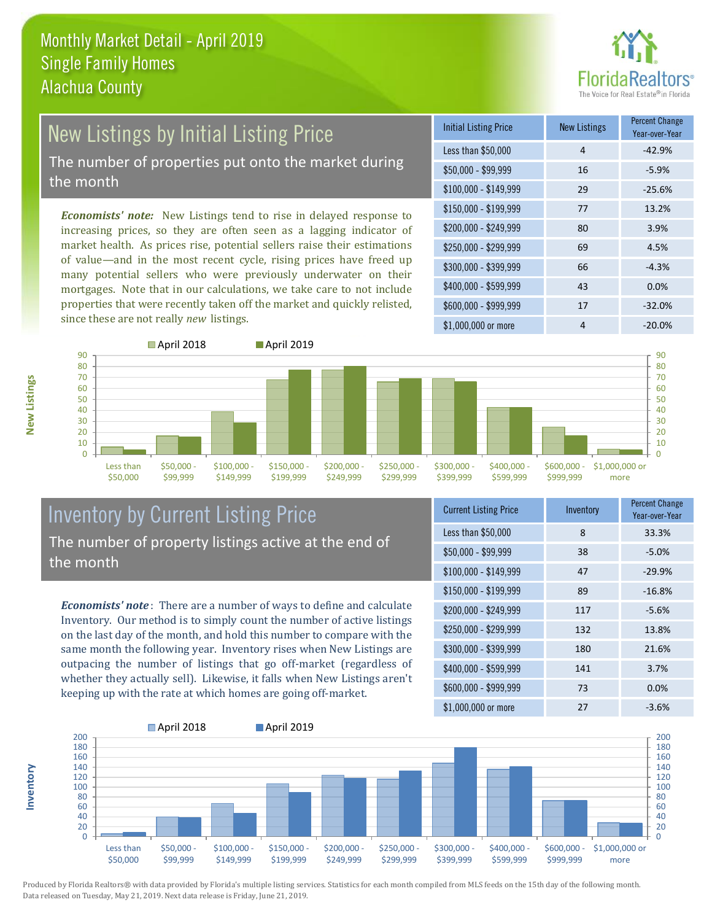

# New Listings by Initial Listing Price

The number of properties put onto the market during the month

*Economists' note:* New Listings tend to rise in delayed response to increasing prices, so they are often seen as a lagging indicator of market health. As prices rise, potential sellers raise their estimations of value—and in the most recent cycle, rising prices have freed up many potential sellers who were previously underwater on their mortgages. Note that in our calculations, we take care to not include properties that were recently taken off the market and quickly relisted, since these are not really *new* listings.





**Inventory**



### Inventory by Current Listing Price The number of property listings active at the end of the month

*Economists' note* : There are a number of ways to define and calculate Inventory. Our method is to simply count the number of active listings on the last day of the month, and hold this number to compare with the same month the following year. Inventory rises when New Listings are outpacing the number of listings that go off-market (regardless of whether they actually sell). Likewise, it falls when New Listings aren't keeping up with the rate at which homes are going off-market.

| <b>Current Listing Price</b> | Inventory | <b>Percent Change</b><br>Year-over-Year |
|------------------------------|-----------|-----------------------------------------|
| Less than \$50,000           | 8         | 33.3%                                   |
| $$50,000 - $99,999$          | 38        | $-5.0%$                                 |
| $$100,000 - $149,999$        | 47        | $-29.9%$                                |
| $$150,000 - $199,999$        | 89        | $-16.8%$                                |
| $$200,000 - $249,999$        | 117       | $-5.6%$                                 |
| \$250,000 - \$299,999        | 132       | 13.8%                                   |
| \$300,000 - \$399,999        | 180       | 21.6%                                   |
| \$400,000 - \$599,999        | 141       | 3.7%                                    |
| \$600,000 - \$999,999        | 73        | 0.0%                                    |
| \$1,000,000 or more          | 27        | $-3.6%$                                 |

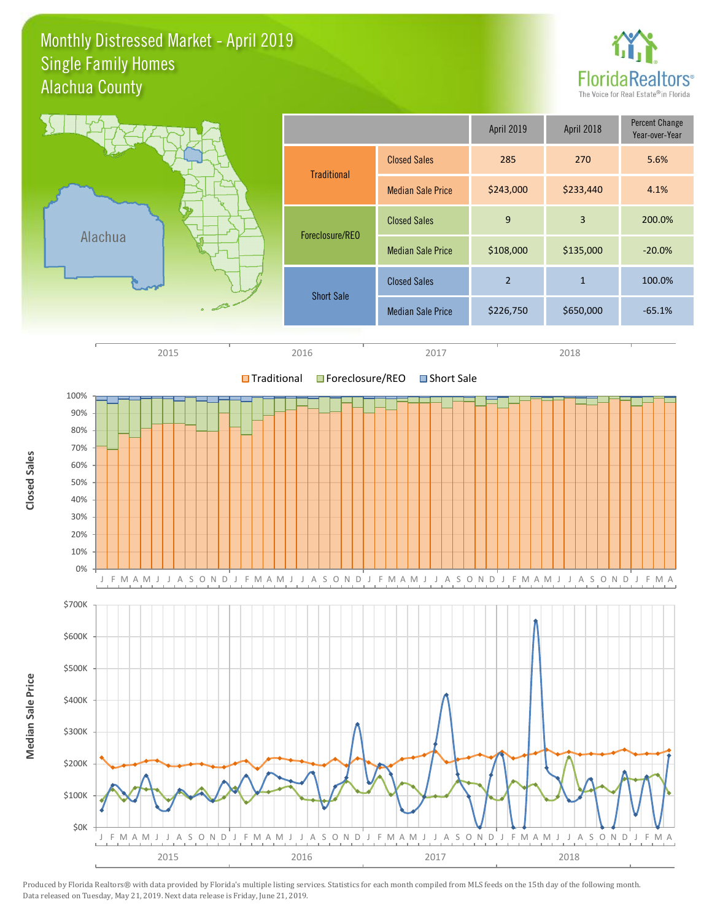### Monthly Distressed Market - April 2019 Alachua County Single Family Homes



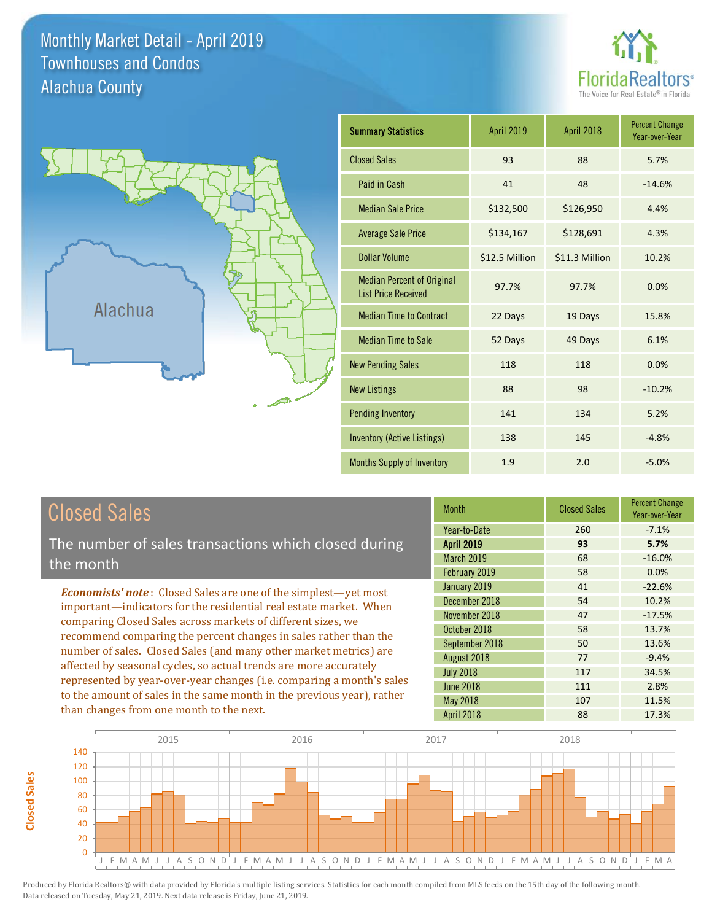Monthly Market Detail - April 2019 Alachua County Townhouses and Condos





| <b>Summary Statistics</b>                                       | <b>April 2019</b> | April 2018     | <b>Percent Change</b><br>Year-over-Year |
|-----------------------------------------------------------------|-------------------|----------------|-----------------------------------------|
| <b>Closed Sales</b>                                             | 93                | 88             | 5.7%                                    |
| Paid in Cash                                                    | 41                | 48             | $-14.6%$                                |
| <b>Median Sale Price</b>                                        | \$132,500         | \$126,950      | 4.4%                                    |
| <b>Average Sale Price</b>                                       | \$134,167         | \$128,691      | 4.3%                                    |
| Dollar Volume                                                   | \$12.5 Million    | \$11.3 Million | 10.2%                                   |
| <b>Median Percent of Original</b><br><b>List Price Received</b> | 97.7%             | 97.7%          | 0.0%                                    |
| <b>Median Time to Contract</b>                                  | 22 Days           | 19 Days        | 15.8%                                   |
| <b>Median Time to Sale</b>                                      | 52 Days           | 49 Days        | 6.1%                                    |
| <b>New Pending Sales</b>                                        | 118               | 118            | 0.0%                                    |
| <b>New Listings</b>                                             | 88                | 98             | $-10.2%$                                |
| <b>Pending Inventory</b>                                        | 141               | 134            | 5.2%                                    |
| <b>Inventory (Active Listings)</b>                              | 138               | 145            | $-4.8%$                                 |
| Months Supply of Inventory                                      | 1.9               | 2.0            | $-5.0%$                                 |

## Closed Sales

The number of sales transactions which closed during the month

*Economists' note* : Closed Sales are one of the simplest—yet most important—indicators for the residential real estate market. When comparing Closed Sales across markets of different sizes, we recommend comparing the percent changes in sales rather than the number of sales. Closed Sales (and many other market metrics) are affected by seasonal cycles, so actual trends are more accurately represented by year-over-year changes (i.e. comparing a month's sales to the amount of sales in the same month in the previous year), rather than changes from one month to the next.

| <b>Month</b>      | <b>Closed Sales</b> | <b>Percent Change</b><br>Year-over-Year |
|-------------------|---------------------|-----------------------------------------|
| Year-to-Date      | 260                 | $-7.1%$                                 |
| <b>April 2019</b> | 93                  | 5.7%                                    |
| <b>March 2019</b> | 68                  | $-16.0%$                                |
| February 2019     | 58                  | 0.0%                                    |
| January 2019      | 41                  | $-22.6%$                                |
| December 2018     | 54                  | 10.2%                                   |
| November 2018     | 47                  | $-17.5%$                                |
| October 2018      | 58                  | 13.7%                                   |
| September 2018    | 50                  | 13.6%                                   |
| August 2018       | 77                  | $-9.4%$                                 |
| <b>July 2018</b>  | 117                 | 34.5%                                   |
| <b>June 2018</b>  | 111                 | 2.8%                                    |
| May 2018          | 107                 | 11.5%                                   |
| April 2018        | 88                  | 17.3%                                   |



**Closed Sales**

**Closed Sales**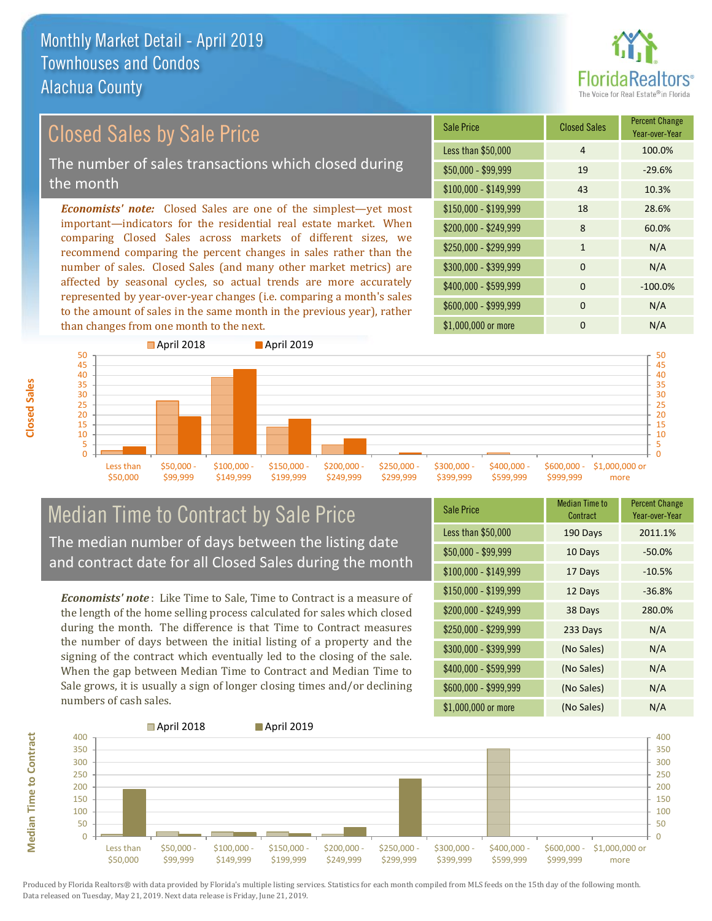

### *Economists' note:* Closed Sales are one of the simplest—yet most important—indicators for the residential real estate market. When comparing Closed Sales across markets of different sizes, we recommend comparing the percent changes in sales rather than the number of sales. Closed Sales (and many other market metrics) are \$150,000 - \$199,999 18 28.6% \$100,000 - \$149,999 43 10.3% Sale Price Closed Sales Percent Change Year-over-Year Less than \$50,000 1 100.0%  $$50.000 - $99.999$  19  $-29.6\%$ Closed Sales by Sale Price The number of sales transactions which closed during the month

affected by seasonal cycles, so actual trends are more accurately represented by year-over-year changes (i.e. comparing a month's sales to the amount of sales in the same month in the previous year), rather than changes from one month to the next. **April 2018 April 2019** 





### Median Time to Contract by Sale Price The median number of days between the listing date and contract date for all Closed Sales during the month

*Economists' note* : Like Time to Sale, Time to Contract is a measure of the length of the home selling process calculated for sales which closed during the month. The difference is that Time to Contract measures the number of days between the initial listing of a property and the signing of the contract which eventually led to the closing of the sale. When the gap between Median Time to Contract and Median Time to Sale grows, it is usually a sign of longer closing times and/or declining numbers of cash sales.

| <b>Sale Price</b>     | Median Time to<br>Contract | <b>Percent Change</b><br>Year-over-Year |
|-----------------------|----------------------------|-----------------------------------------|
| Less than \$50,000    | 190 Days                   | 2011.1%                                 |
| $$50,000 - $99,999$   | 10 Days                    | $-50.0%$                                |
| $$100,000 - $149,999$ | 17 Days                    | $-10.5%$                                |
| $$150,000 - $199,999$ | 12 Days                    | $-36.8%$                                |
| \$200,000 - \$249,999 | 38 Days                    | 280.0%                                  |
| \$250,000 - \$299,999 | 233 Days                   | N/A                                     |
| \$300,000 - \$399,999 | (No Sales)                 | N/A                                     |
| \$400,000 - \$599,999 | (No Sales)                 | N/A                                     |
| \$600,000 - \$999,999 | (No Sales)                 | N/A                                     |
| \$1,000,000 or more   | (No Sales)                 | N/A                                     |



Produced by Florida Realtors® with data provided by Florida's multiple listing services. Statistics for each month compiled from MLS feeds on the 15th day of the following month. Data released on Tuesday, May 21, 2019. Next data release is Friday, June 21, 2019.

**Median Time to Contract**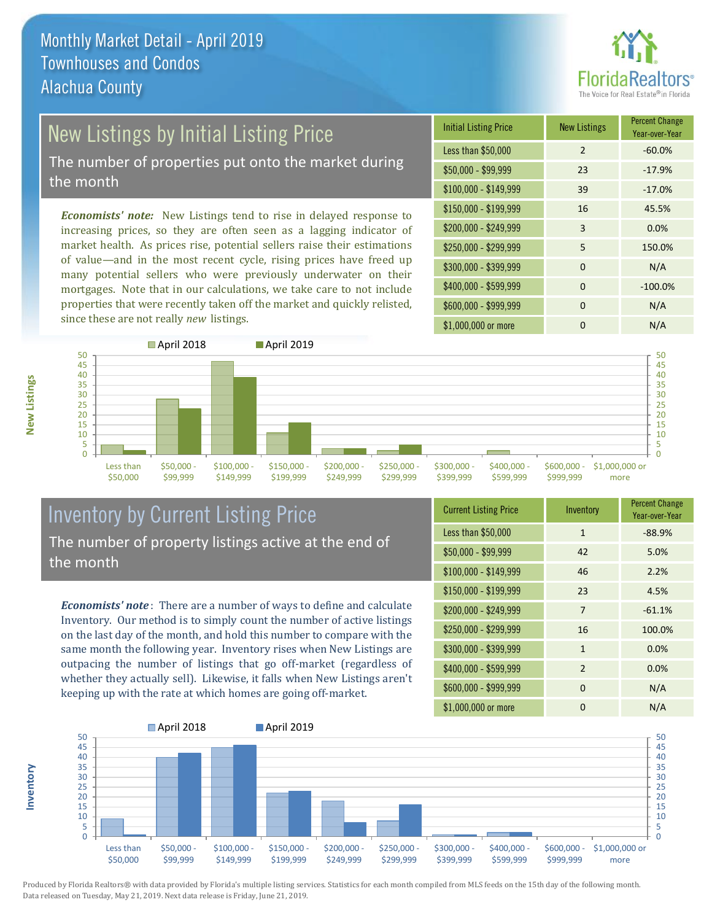

## New Listings by Initial Listing Price

The number of properties put onto the market during the month

*Economists' note:* New Listings tend to rise in delayed response to increasing prices, so they are often seen as a lagging indicator of market health. As prices rise, potential sellers raise their estimations of value—and in the most recent cycle, rising prices have freed up many potential sellers who were previously underwater on their mortgages. Note that in our calculations, we take care to not include properties that were recently taken off the market and quickly relisted, since these are not really *new* listings.

| <b>Initial Listing Price</b> | <b>New Listings</b> | <b>Percent Change</b><br>Year-over-Year |
|------------------------------|---------------------|-----------------------------------------|
| Less than \$50,000           | $\overline{2}$      | $-60.0%$                                |
| $$50,000 - $99,999$          | 23                  | $-17.9%$                                |
| $$100,000 - $149,999$        | 39                  | $-17.0%$                                |
| $$150,000 - $199,999$        | 16                  | 45.5%                                   |
| \$200,000 - \$249,999        | 3                   | 0.0%                                    |
| \$250,000 - \$299,999        | 5                   | 150.0%                                  |
| \$300,000 - \$399,999        | $\Omega$            | N/A                                     |
| \$400,000 - \$599,999        | $\Omega$            | $-100.0%$                               |
| \$600,000 - \$999,999        | $\Omega$            | N/A                                     |
| \$1,000,000 or more          | O                   | N/A                                     |



### Inventory by Current Listing Price The number of property listings active at the end of the month

*Economists' note* : There are a number of ways to define and calculate Inventory. Our method is to simply count the number of active listings on the last day of the month, and hold this number to compare with the same month the following year. Inventory rises when New Listings are outpacing the number of listings that go off-market (regardless of whether they actually sell). Likewise, it falls when New Listings aren't keeping up with the rate at which homes are going off-market.

| <b>Current Listing Price</b> | Inventory      | <b>Percent Change</b><br>Year-over-Year |
|------------------------------|----------------|-----------------------------------------|
| Less than \$50,000           | $\mathbf{1}$   | $-88.9%$                                |
| $$50,000 - $99,999$          | 42             | 5.0%                                    |
| $$100,000 - $149,999$        | 46             | 2.2%                                    |
| $$150,000 - $199,999$        | 23             | 4.5%                                    |
| \$200,000 - \$249,999        | 7              | $-61.1%$                                |
| \$250,000 - \$299,999        | 16             | 100.0%                                  |
| \$300,000 - \$399,999        | $\mathbf{1}$   | 0.0%                                    |
| \$400,000 - \$599,999        | $\overline{2}$ | 0.0%                                    |
| \$600,000 - \$999,999        | $\Omega$       | N/A                                     |
| \$1,000,000 or more          | 0              | N/A                                     |



Produced by Florida Realtors® with data provided by Florida's multiple listing services. Statistics for each month compiled from MLS feeds on the 15th day of the following month. Data released on Tuesday, May 21, 2019. Next data release is Friday, June 21, 2019.

**Inventory**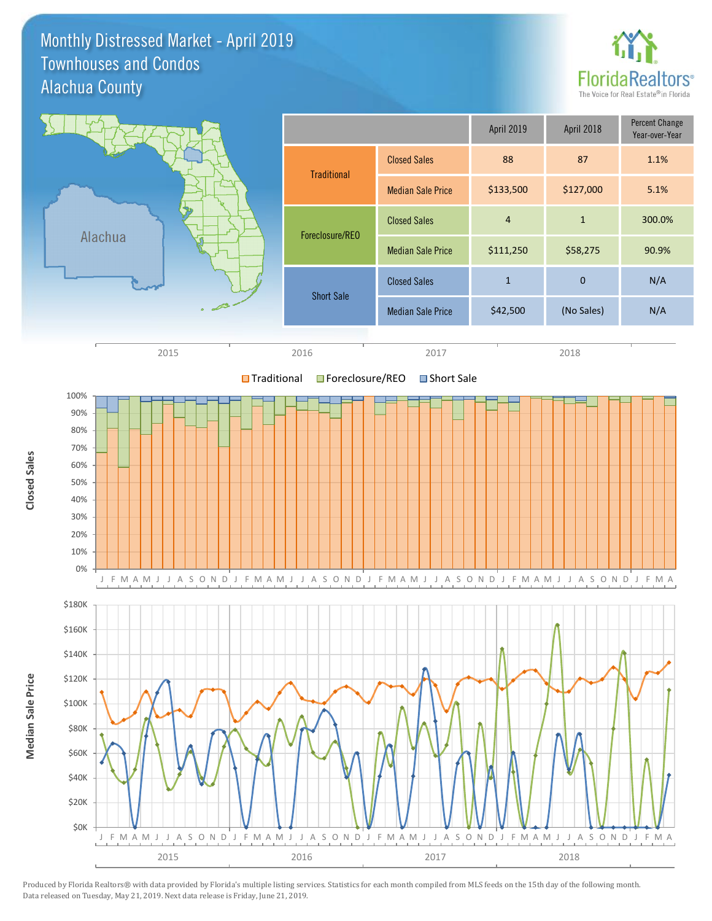Monthly Distressed Market - April 2019 Alachua County Townhouses and Condos



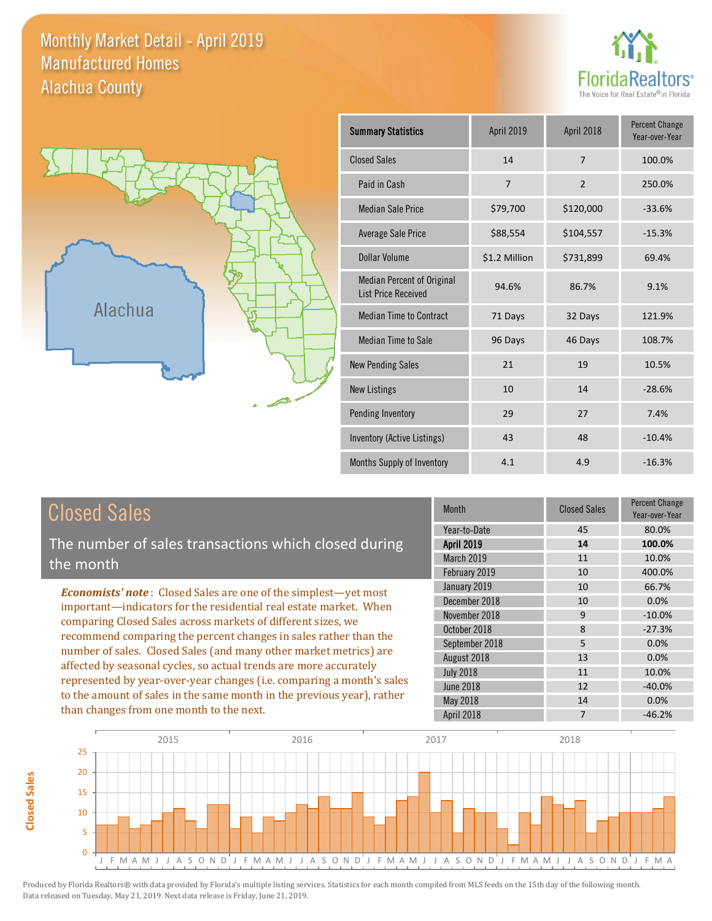### Monthly Market Detail - April 2019 Alachua County Manufactured Homes





| <b>Summary Statistics</b>                                | April 2019    | April 2018     | <b>Percent Change</b><br>Year-over-Year |
|----------------------------------------------------------|---------------|----------------|-----------------------------------------|
| <b>Closed Sales</b>                                      | 14            | $\overline{7}$ | 100.0%                                  |
| Paid in Cash                                             | 7             | $\overline{2}$ | 250.0%                                  |
| <b>Median Sale Price</b>                                 | \$79,700      | \$120,000      | $-33.6%$                                |
| Average Sale Price                                       | \$88,554      | \$104,557      | $-15.3%$                                |
| Dollar Volume                                            | \$1.2 Million | \$731,899      | 69.4%                                   |
| Median Percent of Original<br><b>List Price Received</b> | 94.6%         | 86.7%          | 9.1%                                    |
| <b>Median Time to Contract</b>                           | 71 Days       | 32 Days        | 121.9%                                  |
| <b>Median Time to Sale</b>                               | 96 Days       | 46 Days        | 108.7%                                  |
| <b>New Pending Sales</b>                                 | 21            | 19             | 10.5%                                   |
| <b>New Listings</b>                                      | 10            | 14             | $-28.6%$                                |
| Pending Inventory                                        | 29            | 27             | 7.4%                                    |
| Inventory (Active Listings)                              | 43            | 48             | $-10.4%$                                |
| Months Supply of Inventory                               | 4.1           | 4.9            | $-16.3%$                                |

The number of sales transactions which closed during the month

*Economists' note* : Closed Sales are one of the simplest—yet most important—indicators for the residential real estate market. When comparing Closed Sales across markets of different sizes, we recommend comparing the percent changes in sales rather than the number of sales. Closed Sales (and many other market metrics) are affected by seasonal cycles, so actual trends are more accurately represented by year-over-year changes (i.e. comparing a month's sales to the amount of sales in the same month in the previous year), rather than changes from one month to the next.

| Month             | <b>Closed Sales</b> | <b>Percent Change</b><br>Year-over-Year |
|-------------------|---------------------|-----------------------------------------|
| Year-to-Date      | 45                  | 80.0%                                   |
| <b>April 2019</b> | 14                  | 100.0%                                  |
| March 2019        | 11                  | 10.0%                                   |
| February 2019     | 10                  | 400.0%                                  |
| January 2019      | 10                  | 66.7%                                   |
| December 2018     | 10                  | 0.0%                                    |
| November 2018     | 9                   | $-10.0%$                                |
| October 2018      | 8                   | $-27.3%$                                |
| September 2018    | 5                   | 0.0%                                    |
| August 2018       | 13                  | 0.0%                                    |
| <b>July 2018</b>  | 11                  | 10.0%                                   |
| <b>June 2018</b>  | 12                  | $-40.0%$                                |
| May 2018          | 14                  | 0.0%                                    |
| April 2018        | 7                   | $-46.2%$                                |

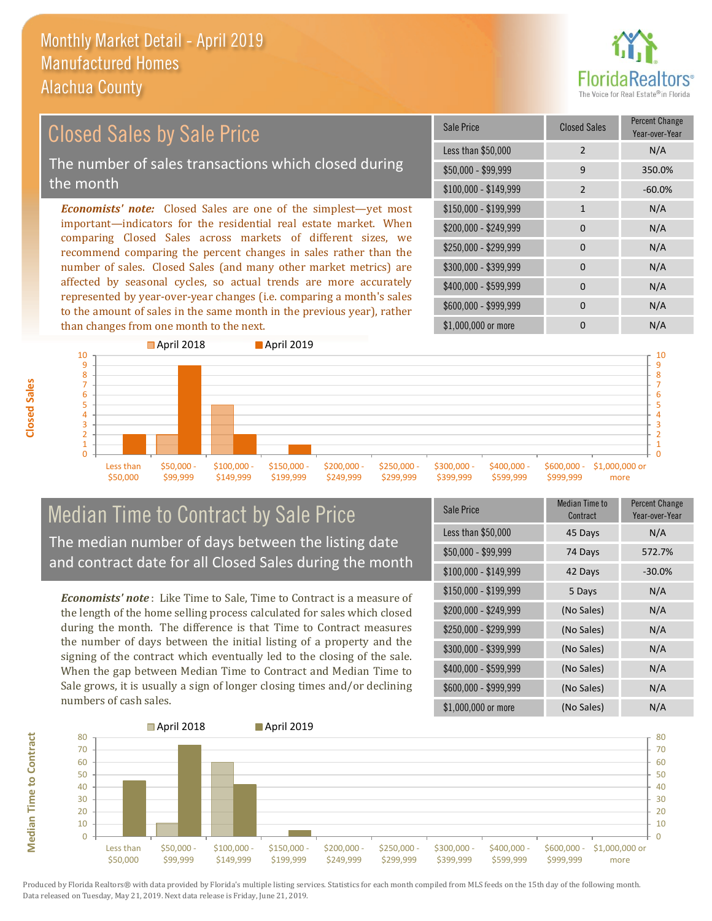

### *Economists' note:* Closed Sales are one of the simplest—yet most important—indicators for the residential real estate market. When comparing Closed Sales across markets of different sizes, we recommend comparing the percent changes in sales rather than the number of sales. Closed Sales (and many other market metrics) are affected by seasonal cycles, so actual trends are more accurately \$250,000 - \$299,999 0 0 N/A \$300,000 - \$399,999 0 0 N/A  $$400,000 - $599,999$  0 N/A \$150,000 - \$199,999 1 1 N/A  $$200,000 - $249,999$  0 N/A \$100,000 - \$149,999 2 -60.0% Sale Price Closed Sales Percent Change Year-over-Year Less than \$50,000 2 N/A \$50,000 - \$99,999 9 350.0% Closed Sales by Sale Price The number of sales transactions which closed during the month

to the amount of sales in the same month in the previous year), rather than changes from one month to the next. \$1,000,000 or more 0 0 N/A 1 2 3 4 5 6 7 8 9 10 **April 2018 April 2019** 

> \$150,000 - \$199,999

\$200,000 - \$249,999

\$250,000 - \$299,999

\$300,000 - \$399,999 \$400,000 - \$599,999 \$600,000 -

\$999,999 \$1,000,000 or more

\$600,000 - \$999,999 0 0 N/A

### Median Time to Contract by Sale Price The median number of days between the listing date and contract date for all Closed Sales during the month

\$100,000 - \$149,999

represented by year-over-year changes (i.e. comparing a month's sales

*Economists' note* : Like Time to Sale, Time to Contract is a measure of the length of the home selling process calculated for sales which closed during the month. The difference is that Time to Contract measures the number of days between the initial listing of a property and the signing of the contract which eventually led to the closing of the sale. When the gap between Median Time to Contract and Median Time to Sale grows, it is usually a sign of longer closing times and/or declining numbers of cash sales.

| <b>Sale Price</b>     | <b>Median Time to</b><br>Contract | <b>Percent Change</b><br>Year-over-Year |
|-----------------------|-----------------------------------|-----------------------------------------|
| Less than \$50,000    | 45 Days                           | N/A                                     |
| $$50,000 - $99,999$   | 74 Days                           | 572.7%                                  |
| $$100,000 - $149,999$ | 42 Days                           | $-30.0%$                                |
| $$150,000 - $199,999$ | 5 Days                            | N/A                                     |
| \$200,000 - \$249,999 | (No Sales)                        | N/A                                     |
| \$250,000 - \$299,999 | (No Sales)                        | N/A                                     |
| \$300,000 - \$399,999 | (No Sales)                        | N/A                                     |
| \$400,000 - \$599,999 | (No Sales)                        | N/A                                     |
| \$600,000 - \$999,999 | (No Sales)                        | N/A                                     |
| \$1,000,000 or more   | (No Sales)                        | N/A                                     |



Produced by Florida Realtors® with data provided by Florida's multiple listing services. Statistics for each month compiled from MLS feeds on the 15th day of the following month. Data released on Tuesday, May 21, 2019. Next data release is Friday, June 21, 2019.

 $\Omega$ 

Less than \$50,000

\$50,000 - \$99,999

**Median Time to Contract Median Time to Contract**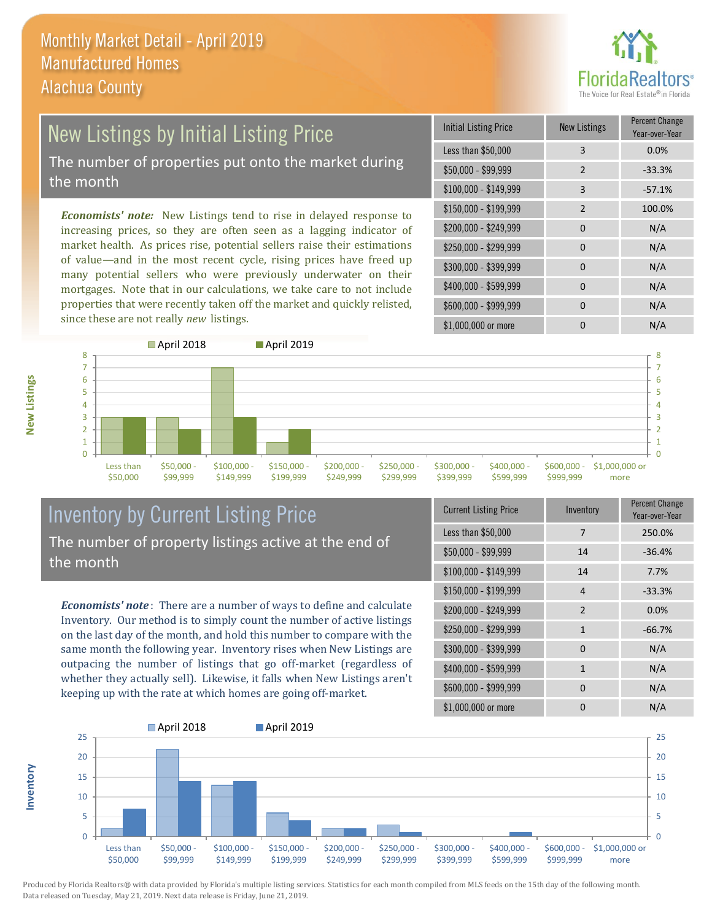

## New Listings by Initial Listing Price The number of properties put onto the market during

the month

*Economists' note:* New Listings tend to rise in delayed response to increasing prices, so they are often seen as a lagging indicator of market health. As prices rise, potential sellers raise their estimations of value—and in the most recent cycle, rising prices have freed up many potential sellers who were previously underwater on their mortgages. Note that in our calculations, we take care to not include properties that were recently taken off the market and quickly relisted, since these are not really *new* listings.

| <b>Initial Listing Price</b> | <b>New Listings</b> | <b>Percent Change</b><br>Year-over-Year |
|------------------------------|---------------------|-----------------------------------------|
| Less than \$50,000           | 3                   | 0.0%                                    |
| \$50,000 - \$99,999          | $\overline{2}$      | $-33.3%$                                |
| $$100,000 - $149,999$        | 3                   | $-57.1%$                                |
| $$150,000 - $199,999$        | $\overline{2}$      | 100.0%                                  |
| \$200,000 - \$249,999        | $\Omega$            | N/A                                     |
| \$250,000 - \$299,999        | $\Omega$            | N/A                                     |
| \$300,000 - \$399,999        | $\Omega$            | N/A                                     |
| \$400,000 - \$599,999        | $\Omega$            | N/A                                     |
| \$600,000 - \$999,999        | $\Omega$            | N/A                                     |
| \$1,000,000 or more          | n                   | N/A                                     |



### Inventory by Current Listing Price The number of property listings active at the end of the month

*Economists' note* : There are a number of ways to define and calculate Inventory. Our method is to simply count the number of active listings on the last day of the month, and hold this number to compare with the same month the following year. Inventory rises when New Listings are outpacing the number of listings that go off-market (regardless of whether they actually sell). Likewise, it falls when New Listings aren't keeping up with the rate at which homes are going off-market.

| <b>Current Listing Price</b> | Inventory    | Percent Change<br>Year-over-Year |
|------------------------------|--------------|----------------------------------|
| Less than \$50,000           | 7            | 250.0%                           |
| $$50,000 - $99,999$          | 14           | $-36.4%$                         |
| $$100,000 - $149,999$        | 14           | 7.7%                             |
| $$150,000 - $199,999$        | 4            | $-33.3%$                         |
| \$200,000 - \$249,999        | 2            | 0.0%                             |
| \$250,000 - \$299,999        | $\mathbf{1}$ | $-66.7%$                         |
| \$300,000 - \$399,999        | $\Omega$     | N/A                              |
| \$400,000 - \$599,999        | $\mathbf{1}$ | N/A                              |
| \$600,000 - \$999,999        | <sup>0</sup> | N/A                              |
| \$1,000,000 or more          | ŋ            | N/A                              |



**New Listings**

**Inventory**